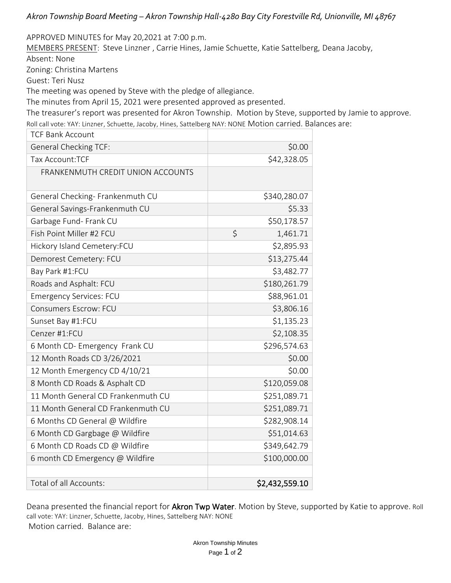*Akron Township Board Meeting – Akron Township Hall-4280 Bay City Forestville Rd, Unionville, MI 48767*

APPROVED MINUTES for May 20,2021 at 7:00 p.m.

MEMBERS PRESENT: Steve Linzner , Carrie Hines, Jamie Schuette, Katie Sattelberg, Deana Jacoby,

Absent: None

Zoning: Christina Martens

Guest: Teri Nusz

The meeting was opened by Steve with the pledge of allegiance.

The minutes from April 15, 2021 were presented approved as presented.

The treasurer's report was presented for Akron Township. Motion by Steve, supported by Jamie to approve.

Roll call vote: YAY: Linzner, Schuette, Jacoby, Hines, Sattelberg NAY: NONE Motion carried. Balances are:

| <b>TCF Bank Account</b>            |                |
|------------------------------------|----------------|
| <b>General Checking TCF:</b>       | \$0.00         |
| Tax Account: TCF                   | \$42,328.05    |
| FRANKENMUTH CREDIT UNION ACCOUNTS  |                |
| General Checking- Frankenmuth CU   | \$340,280.07   |
| General Savings-Frankenmuth CU     | \$5.33         |
| Garbage Fund- Frank CU             | \$50,178.57    |
| Fish Point Miller #2 FCU           | \$<br>1,461.71 |
| Hickory Island Cemetery:FCU        | \$2,895.93     |
| Demorest Cemetery: FCU             | \$13,275.44    |
| Bay Park #1:FCU                    | \$3,482.77     |
| Roads and Asphalt: FCU             | \$180,261.79   |
| <b>Emergency Services: FCU</b>     | \$88,961.01    |
| <b>Consumers Escrow: FCU</b>       | \$3,806.16     |
| Sunset Bay #1:FCU                  | \$1,135.23     |
| Cenzer #1:FCU                      | \$2,108.35     |
| 6 Month CD- Emergency Frank CU     | \$296,574.63   |
| 12 Month Roads CD 3/26/2021        | \$0.00         |
| 12 Month Emergency CD 4/10/21      | \$0.00         |
| 8 Month CD Roads & Asphalt CD      | \$120,059.08   |
| 11 Month General CD Frankenmuth CU | \$251,089.71   |
| 11 Month General CD Frankenmuth CU | \$251,089.71   |
| 6 Months CD General @ Wildfire     | \$282,908.14   |
| 6 Month CD Gargbage @ Wildfire     | \$51,014.63    |
| 6 Month CD Roads CD @ Wildfire     | \$349,642.79   |
| 6 month CD Emergency @ Wildfire    | \$100,000.00   |
|                                    |                |
| Total of all Accounts:             | \$2,432,559.10 |

Deana presented the financial report for Akron Twp Water. Motion by Steve, supported by Katie to approve. Roll call vote: YAY: Linzner, Schuette, Jacoby, Hines, Sattelberg NAY: NONE Motion carried. Balance are: